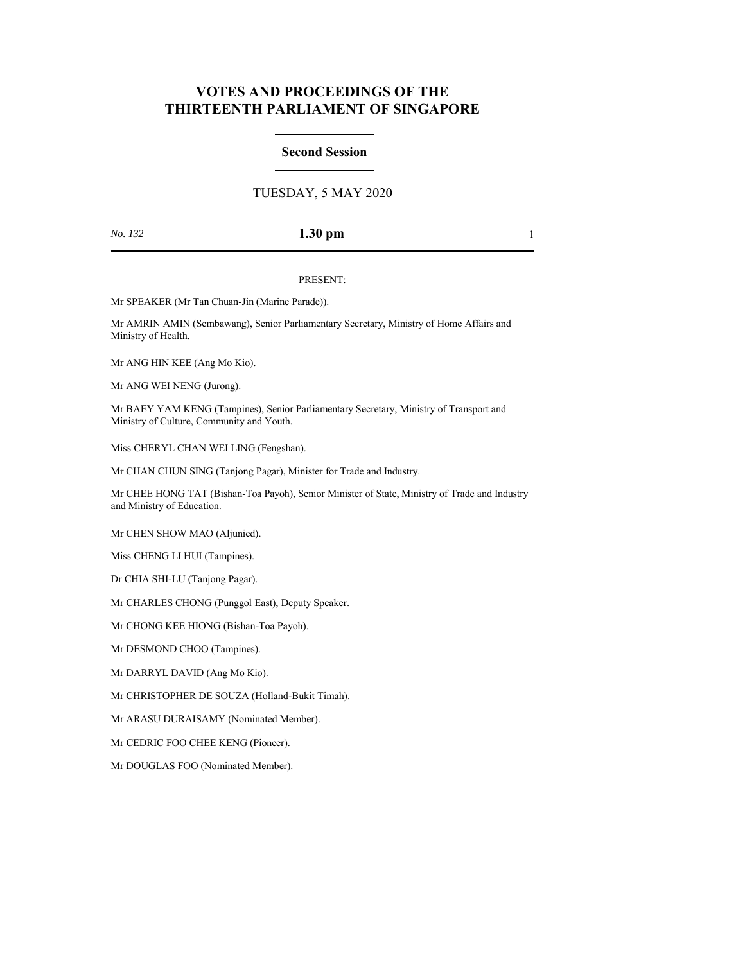# **VOTES AND PROCEEDINGS OF THE THIRTEENTH PARLIAMENT OF SINGAPORE**

## **Second Session**

## TUESDAY, 5 MAY 2020

## *No. 132* **1.30 pm** 1

### PRESENT:

Mr SPEAKER (Mr Tan Chuan-Jin (Marine Parade)).

Mr AMRIN AMIN (Sembawang), Senior Parliamentary Secretary, Ministry of Home Affairs and Ministry of Health.

Mr ANG HIN KEE (Ang Mo Kio).

Mr ANG WEI NENG (Jurong).

Mr BAEY YAM KENG (Tampines), Senior Parliamentary Secretary, Ministry of Transport and Ministry of Culture, Community and Youth.

Miss CHERYL CHAN WEI LING (Fengshan).

Mr CHAN CHUN SING (Tanjong Pagar), Minister for Trade and Industry.

Mr CHEE HONG TAT (Bishan-Toa Payoh), Senior Minister of State, Ministry of Trade and Industry and Ministry of Education.

Mr CHEN SHOW MAO (Aljunied).

Miss CHENG LI HUI (Tampines).

Dr CHIA SHI-LU (Tanjong Pagar).

Mr CHARLES CHONG (Punggol East), Deputy Speaker.

Mr CHONG KEE HIONG (Bishan-Toa Payoh).

Mr DESMOND CHOO (Tampines).

Mr DARRYL DAVID (Ang Mo Kio).

Mr CHRISTOPHER DE SOUZA (Holland-Bukit Timah).

Mr ARASU DURAISAMY (Nominated Member).

Mr CEDRIC FOO CHEE KENG (Pioneer).

Mr DOUGLAS FOO (Nominated Member).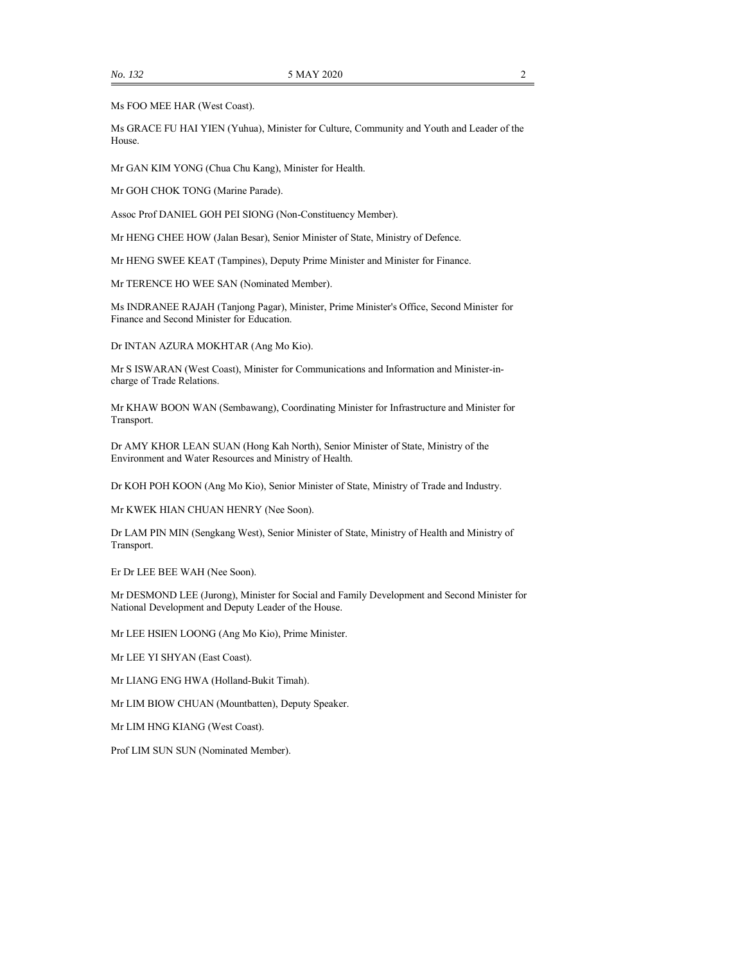Ms FOO MEE HAR (West Coast).

Ms GRACE FU HAI YIEN (Yuhua), Minister for Culture, Community and Youth and Leader of the House.

Mr GAN KIM YONG (Chua Chu Kang), Minister for Health.

Mr GOH CHOK TONG (Marine Parade).

Assoc Prof DANIEL GOH PEI SIONG (Non-Constituency Member).

Mr HENG CHEE HOW (Jalan Besar), Senior Minister of State, Ministry of Defence.

Mr HENG SWEE KEAT (Tampines), Deputy Prime Minister and Minister for Finance.

Mr TERENCE HO WEE SAN (Nominated Member).

Ms INDRANEE RAJAH (Tanjong Pagar), Minister, Prime Minister's Office, Second Minister for Finance and Second Minister for Education.

Dr INTAN AZURA MOKHTAR (Ang Mo Kio).

Mr S ISWARAN (West Coast), Minister for Communications and Information and Minister-incharge of Trade Relations.

Mr KHAW BOON WAN (Sembawang), Coordinating Minister for Infrastructure and Minister for Transport.

Dr AMY KHOR LEAN SUAN (Hong Kah North), Senior Minister of State, Ministry of the Environment and Water Resources and Ministry of Health.

Dr KOH POH KOON (Ang Mo Kio), Senior Minister of State, Ministry of Trade and Industry.

Mr KWEK HIAN CHUAN HENRY (Nee Soon).

Dr LAM PIN MIN (Sengkang West), Senior Minister of State, Ministry of Health and Ministry of Transport.

Er Dr LEE BEE WAH (Nee Soon).

Mr DESMOND LEE (Jurong), Minister for Social and Family Development and Second Minister for National Development and Deputy Leader of the House.

Mr LEE HSIEN LOONG (Ang Mo Kio), Prime Minister.

Mr LEE YI SHYAN (East Coast).

Mr LIANG ENG HWA (Holland-Bukit Timah).

Mr LIM BIOW CHUAN (Mountbatten), Deputy Speaker.

Mr LIM HNG KIANG (West Coast).

Prof LIM SUN SUN (Nominated Member).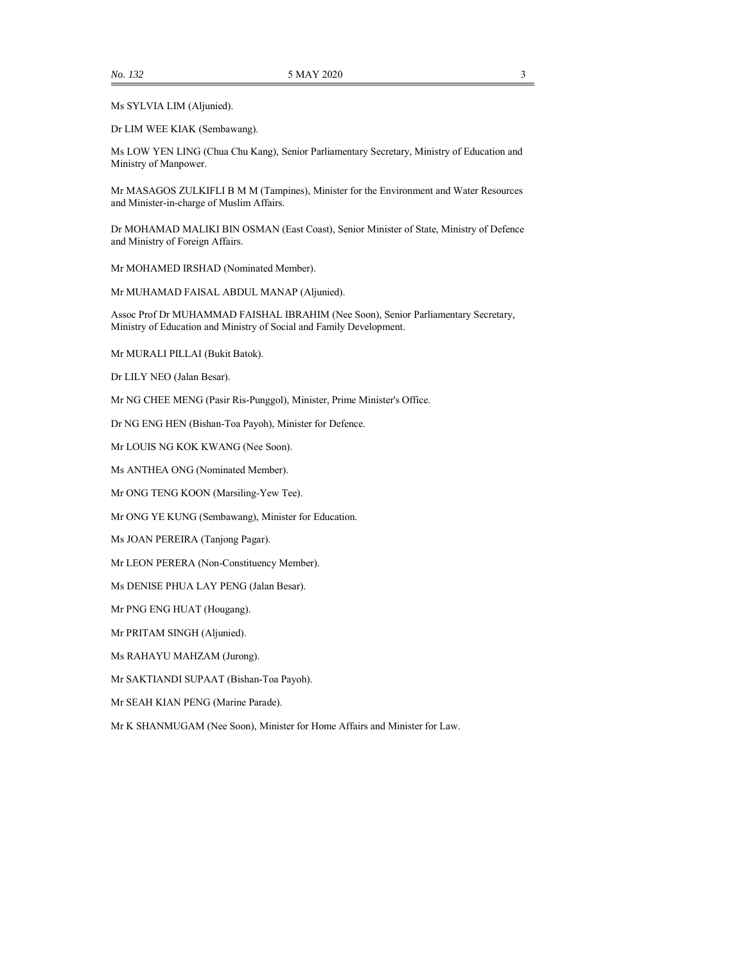Ms SYLVIA LIM (Aljunied).

Dr LIM WEE KIAK (Sembawang).

Ms LOW YEN LING (Chua Chu Kang), Senior Parliamentary Secretary, Ministry of Education and Ministry of Manpower.

Mr MASAGOS ZULKIFLI B M M (Tampines), Minister for the Environment and Water Resources and Minister-in-charge of Muslim Affairs.

Dr MOHAMAD MALIKI BIN OSMAN (East Coast), Senior Minister of State, Ministry of Defence and Ministry of Foreign Affairs.

Mr MOHAMED IRSHAD (Nominated Member).

Mr MUHAMAD FAISAL ABDUL MANAP (Aljunied).

Assoc Prof Dr MUHAMMAD FAISHAL IBRAHIM (Nee Soon), Senior Parliamentary Secretary, Ministry of Education and Ministry of Social and Family Development.

Mr MURALI PILLAI (Bukit Batok).

Dr LILY NEO (Jalan Besar).

Mr NG CHEE MENG (Pasir Ris-Punggol), Minister, Prime Minister's Office.

Dr NG ENG HEN (Bishan-Toa Payoh), Minister for Defence.

Mr LOUIS NG KOK KWANG (Nee Soon).

Ms ANTHEA ONG (Nominated Member).

Mr ONG TENG KOON (Marsiling-Yew Tee).

Mr ONG YE KUNG (Sembawang), Minister for Education.

Ms JOAN PEREIRA (Tanjong Pagar).

Mr LEON PERERA (Non-Constituency Member).

Ms DENISE PHUA LAY PENG (Jalan Besar).

Mr PNG ENG HUAT (Hougang).

Mr PRITAM SINGH (Aljunied).

Ms RAHAYU MAHZAM (Jurong).

Mr SAKTIANDI SUPAAT (Bishan-Toa Payoh).

Mr SEAH KIAN PENG (Marine Parade).

Mr K SHANMUGAM (Nee Soon), Minister for Home Affairs and Minister for Law.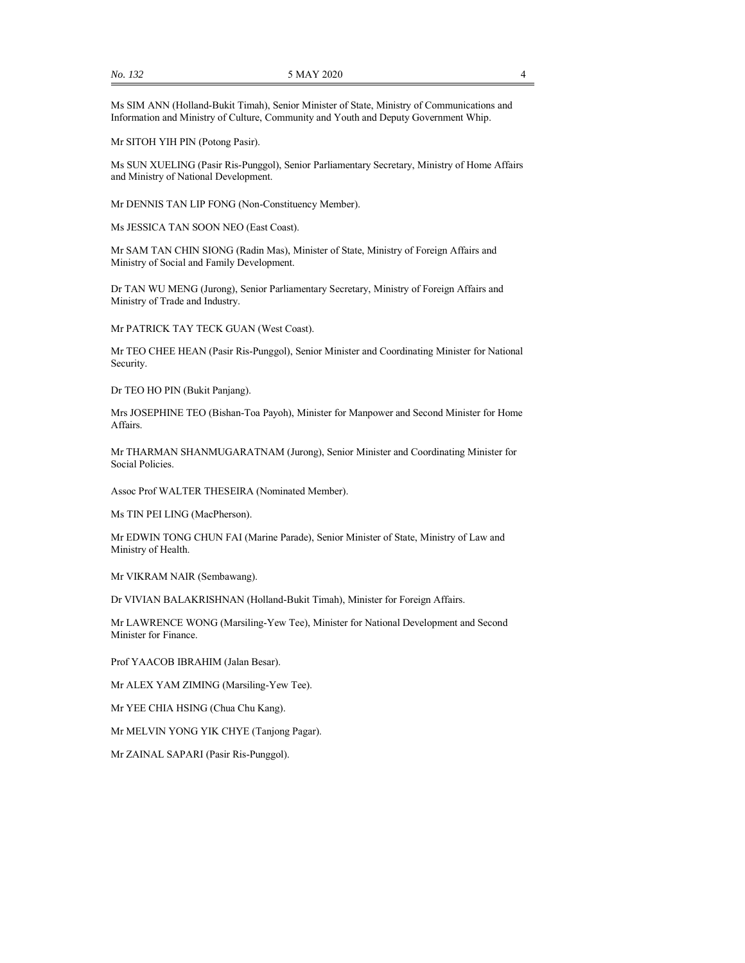Ms SIM ANN (Holland-Bukit Timah), Senior Minister of State, Ministry of Communications and Information and Ministry of Culture, Community and Youth and Deputy Government Whip.

Mr SITOH YIH PIN (Potong Pasir).

Ms SUN XUELING (Pasir Ris-Punggol), Senior Parliamentary Secretary, Ministry of Home Affairs and Ministry of National Development.

Mr DENNIS TAN LIP FONG (Non-Constituency Member).

Ms JESSICA TAN SOON NEO (East Coast).

Mr SAM TAN CHIN SIONG (Radin Mas), Minister of State, Ministry of Foreign Affairs and Ministry of Social and Family Development.

Dr TAN WU MENG (Jurong), Senior Parliamentary Secretary, Ministry of Foreign Affairs and Ministry of Trade and Industry.

Mr PATRICK TAY TECK GUAN (West Coast).

Mr TEO CHEE HEAN (Pasir Ris-Punggol), Senior Minister and Coordinating Minister for National Security.

Dr TEO HO PIN (Bukit Panjang).

Mrs JOSEPHINE TEO (Bishan-Toa Payoh), Minister for Manpower and Second Minister for Home Affairs.

Mr THARMAN SHANMUGARATNAM (Jurong), Senior Minister and Coordinating Minister for Social Policies.

Assoc Prof WALTER THESEIRA (Nominated Member).

Ms TIN PEI LING (MacPherson).

Mr EDWIN TONG CHUN FAI (Marine Parade), Senior Minister of State, Ministry of Law and Ministry of Health.

Mr VIKRAM NAIR (Sembawang).

Dr VIVIAN BALAKRISHNAN (Holland-Bukit Timah), Minister for Foreign Affairs.

Mr LAWRENCE WONG (Marsiling-Yew Tee), Minister for National Development and Second Minister for Finance.

Prof YAACOB IBRAHIM (Jalan Besar).

Mr ALEX YAM ZIMING (Marsiling-Yew Tee).

Mr YEE CHIA HSING (Chua Chu Kang).

Mr MELVIN YONG YIK CHYE (Tanjong Pagar).

Mr ZAINAL SAPARI (Pasir Ris-Punggol).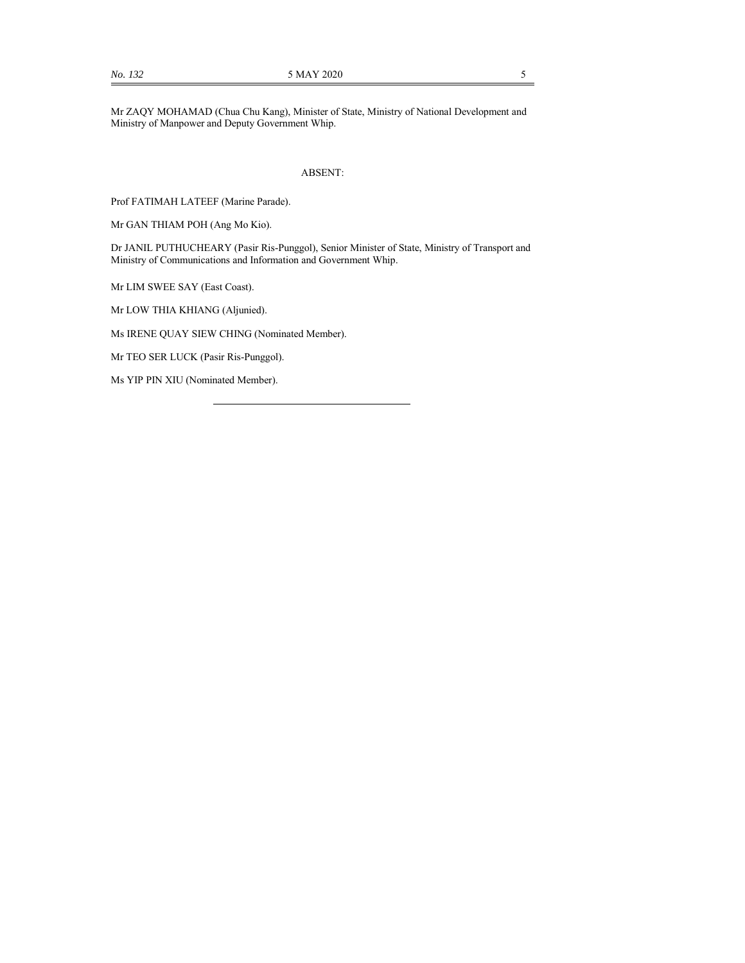Mr ZAQY MOHAMAD (Chua Chu Kang), Minister of State, Ministry of National Development and Ministry of Manpower and Deputy Government Whip.

#### ABSENT:

Prof FATIMAH LATEEF (Marine Parade).

Mr GAN THIAM POH (Ang Mo Kio).

Dr JANIL PUTHUCHEARY (Pasir Ris-Punggol), Senior Minister of State, Ministry of Transport and Ministry of Communications and Information and Government Whip.

Mr LIM SWEE SAY (East Coast).

Mr LOW THIA KHIANG (Aljunied).

Ms IRENE QUAY SIEW CHING (Nominated Member).

Mr TEO SER LUCK (Pasir Ris-Punggol).

Ms YIP PIN XIU (Nominated Member).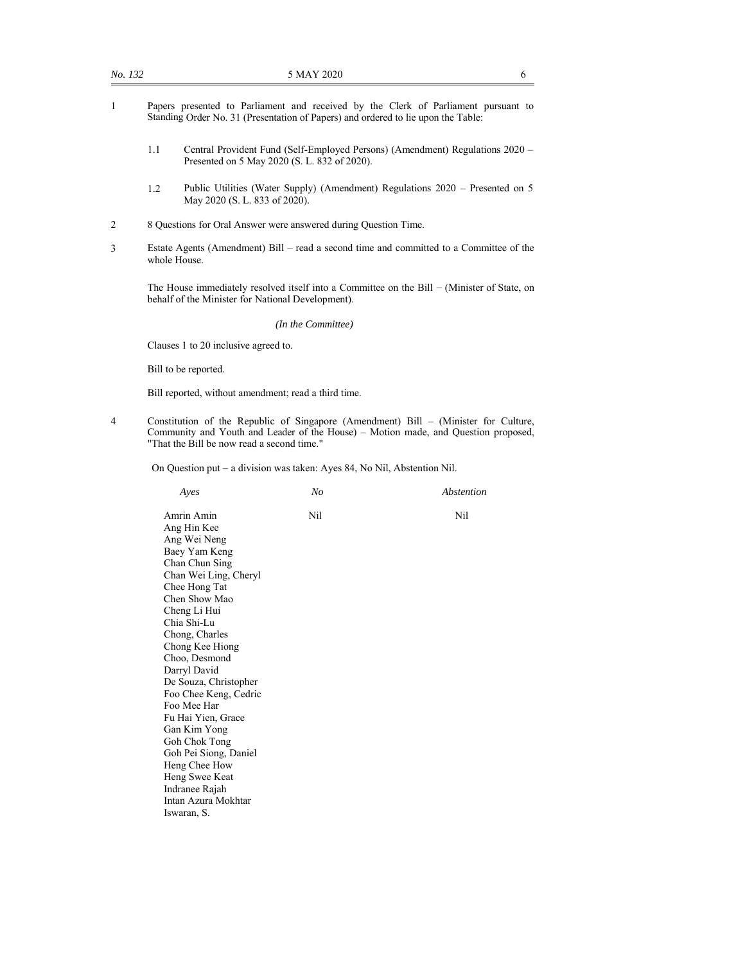- 1 Papers presented to Parliament and received by the Clerk of Parliament pursuant to Standing Order No. 31 (Presentation of Papers) and ordered to lie upon the Table:
	- 1.1 Central Provident Fund (Self-Employed Persons) (Amendment) Regulations 2020 Presented on 5 May 2020 (S. L. 832 of 2020).
	- 1.2 Public Utilities (Water Supply) (Amendment) Regulations 2020 Presented on 5 May 2020 (S. L. 833 of 2020).
- 2 8 Questions for Oral Answer were answered during Question Time.
- 3 Estate Agents (Amendment) Bill read a second time and committed to a Committee of the whole House.

The House immediately resolved itself into a Committee on the Bill – (Minister of State, on behalf of the Minister for National Development).

#### *(In the Committee)*

Clauses 1 to 20 inclusive agreed to.

Bill to be reported.

Bill reported, without amendment; read a third time.

4 Constitution of the Republic of Singapore (Amendment) Bill – (Minister for Culture, Community and Youth and Leader of the House) – Motion made, and Question proposed, "That the Bill be now read a second time."

On Question put - a division was taken: Ayes 84, No Nil, Abstention Nil.

| Ayes                                                                                                                                                                                                                                                                                                                                                                                                                                                                                     | No  | Abstention |
|------------------------------------------------------------------------------------------------------------------------------------------------------------------------------------------------------------------------------------------------------------------------------------------------------------------------------------------------------------------------------------------------------------------------------------------------------------------------------------------|-----|------------|
| Amrin Amin<br>Ang Hin Kee<br>Ang Wei Neng<br>Baey Yam Keng<br>Chan Chun Sing<br>Chan Wei Ling, Cheryl<br>Chee Hong Tat<br>Chen Show Mao<br>Cheng Li Hui<br>Chia Shi-Lu<br>Chong, Charles<br>Chong Kee Hiong<br>Choo, Desmond<br>Darryl David<br>De Souza, Christopher<br>Foo Chee Keng, Cedric<br>Foo Mee Har<br>Fu Hai Yien, Grace<br>Gan Kim Yong<br>Goh Chok Tong<br>Goh Pei Siong, Daniel<br>Heng Chee How<br>Heng Swee Keat<br>Indranee Rajah<br>Intan Azura Mokhtar<br>Iswaran, S. | Nil | Nil        |
|                                                                                                                                                                                                                                                                                                                                                                                                                                                                                          |     |            |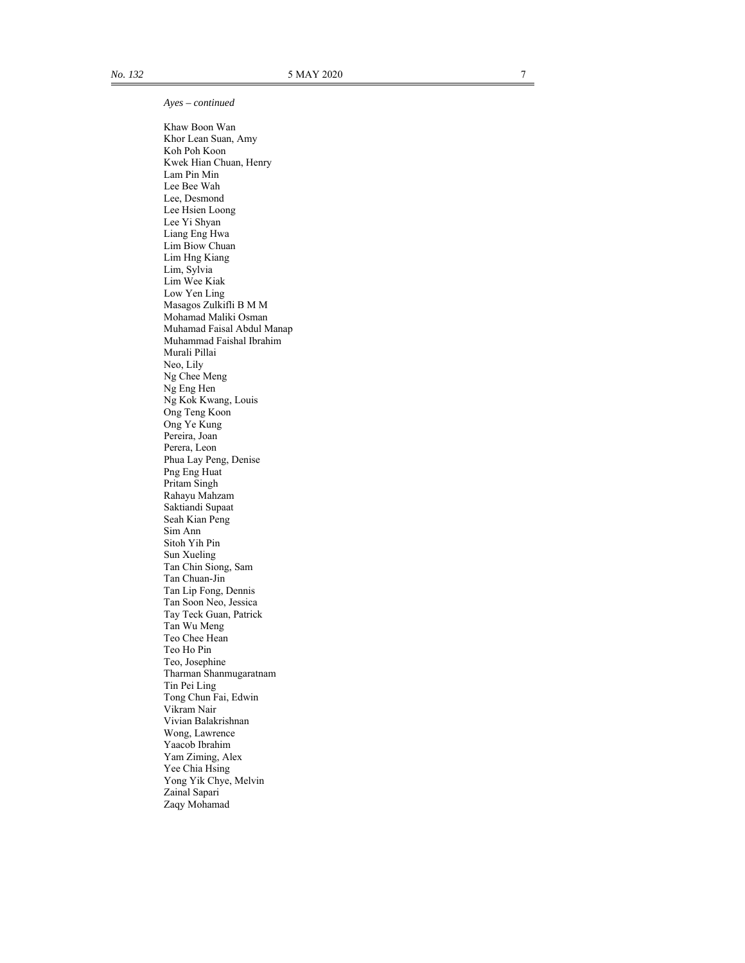*Ayes – continued* 

 Khaw Boon Wan Khor Lean Suan, Amy Koh Poh Koon Kwek Hian Chuan, Henry Lam Pin Min Lee Bee Wah Lee, Desmond Lee Hsien Loong Lee Yi Shyan Liang Eng Hwa Lim Biow Chuan Lim Hng Kiang Lim, Sylvia Lim Wee Kiak Low Yen Ling Masagos Zulkifli B M M Mohamad Maliki Osman Muhamad Faisal Abdul Manap Muhammad Faishal Ibrahim Murali Pillai Neo, Lily Ng Chee Meng Ng Eng Hen Ng Kok Kwang, Louis Ong Teng Koon Ong Ye Kung Pereira, Joan Perera, Leon Phua Lay Peng, Denise Png Eng Huat Pritam Singh Rahayu Mahzam Saktiandi Supaat Seah Kian Peng Sim Ann Sitoh Yih Pin Sun Xueling Tan Chin Siong, Sam Tan Chuan-Jin Tan Lip Fong, Dennis Tan Soon Neo, Jessica Tay Teck Guan, Patrick Tan Wu Meng Teo Chee Hean Teo Ho Pin Teo, Josephine Tharman Shanmugaratnam Tin Pei Ling Tong Chun Fai, Edwin Vikram Nair Vivian Balakrishnan Wong, Lawrence Yaacob Ibrahim Yam Ziming, Alex Yee Chia Hsing Yong Yik Chye, Melvin Zainal Sapari Zaqy Mohamad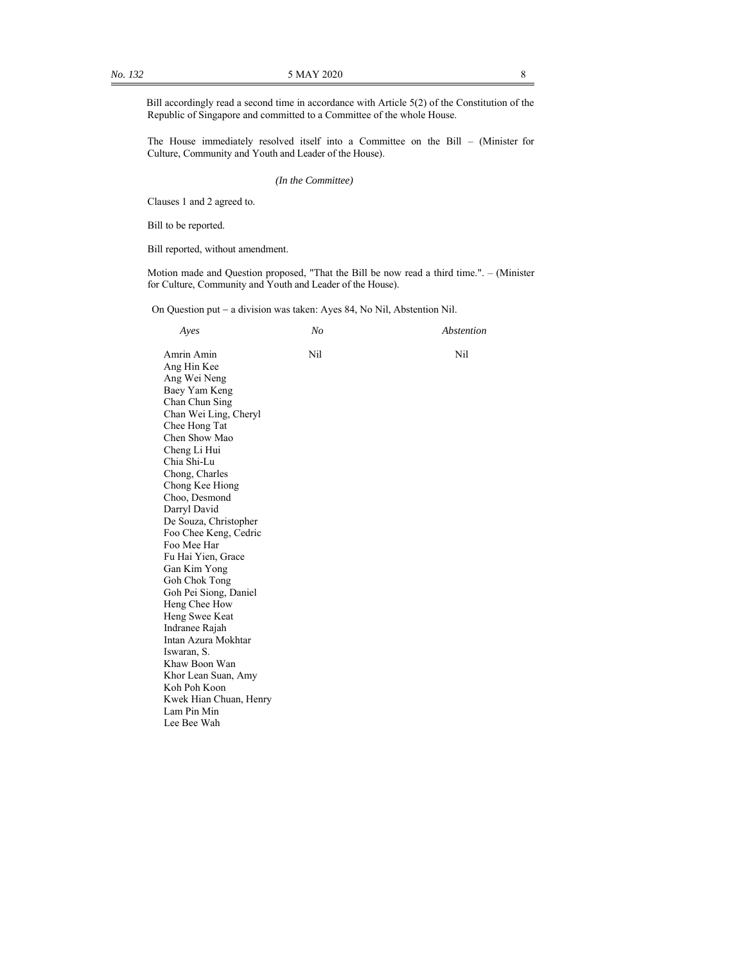Bill accordingly read a second time in accordance with Article 5(2) of the Constitution of the Republic of Singapore and committed to a Committee of the whole House.

The House immediately resolved itself into a Committee on the Bill – (Minister for Culture, Community and Youth and Leader of the House).

*(In the Committee)*

Clauses 1 and 2 agreed to.

Bill to be reported.

Bill reported, without amendment.

Motion made and Question proposed, "That the Bill be now read a third time.". – (Minister for Culture, Community and Youth and Leader of the House).

On Question put - a division was taken: Ayes 84, No Nil, Abstention Nil.

| Ayes                   | N <sub>o</sub> | Abstention |
|------------------------|----------------|------------|
| Amrin Amin             | Nil            | Nil        |
| Ang Hin Kee            |                |            |
| Ang Wei Neng           |                |            |
| Baey Yam Keng          |                |            |
| Chan Chun Sing         |                |            |
| Chan Wei Ling, Cheryl  |                |            |
| Chee Hong Tat          |                |            |
| Chen Show Mao          |                |            |
| Cheng Li Hui           |                |            |
| Chia Shi-Lu            |                |            |
| Chong, Charles         |                |            |
| Chong Kee Hiong        |                |            |
| Choo, Desmond          |                |            |
| Darryl David           |                |            |
| De Souza, Christopher  |                |            |
| Foo Chee Keng, Cedric  |                |            |
| Foo Mee Har            |                |            |
| Fu Hai Yien, Grace     |                |            |
| Gan Kim Yong           |                |            |
| Goh Chok Tong          |                |            |
| Goh Pei Siong, Daniel  |                |            |
| Heng Chee How          |                |            |
| Heng Swee Keat         |                |            |
| Indranee Rajah         |                |            |
| Intan Azura Mokhtar    |                |            |
| Iswaran, S.            |                |            |
| Khaw Boon Wan          |                |            |
| Khor Lean Suan, Amy    |                |            |
| Koh Poh Koon           |                |            |
| Kwek Hian Chuan, Henry |                |            |
| Lam Pin Min            |                |            |
| Lee Bee Wah            |                |            |
|                        |                |            |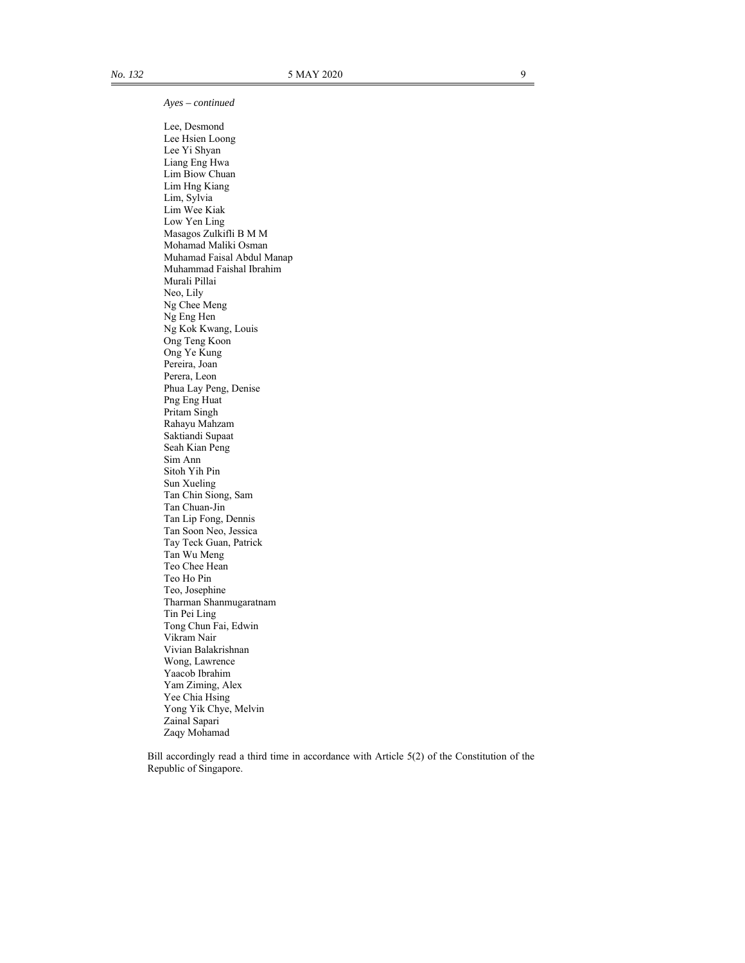*Ayes – continued* 

 Lee, Desmond Lee Hsien Loong Lee Yi Shyan Liang Eng Hwa Lim Biow Chuan Lim Hng Kiang Lim, Sylvia Lim Wee Kiak Low Yen Ling Masagos Zulkifli B M M Mohamad Maliki Osman Muhamad Faisal Abdul Manap Muhammad Faishal Ibrahim Murali Pillai Neo, Lily Ng Chee Meng Ng Eng Hen Ng Kok Kwang, Louis Ong Teng Koon Ong Ye Kung Pereira, Joan Perera, Leon Phua Lay Peng, Denise Png Eng Huat Pritam Singh Rahayu Mahzam Saktiandi Supaat Seah Kian Peng Sim Ann Sitoh Yih Pin Sun Xueling Tan Chin Siong, Sam Tan Chuan-Jin Tan Lip Fong, Dennis Tan Soon Neo, Jessica Tay Teck Guan, Patrick Tan Wu Meng Teo Chee Hean Teo Ho Pin Teo, Josephine Tharman Shanmugaratnam Tin Pei Ling Tong Chun Fai, Edwin Vikram Nair Vivian Balakrishnan Wong, Lawrence Yaacob Ibrahim Yam Ziming, Alex Yee Chia Hsing Yong Yik Chye, Melvin Zainal Sapari Zaqy Mohamad

Bill accordingly read a third time in accordance with Article 5(2) of the Constitution of the Republic of Singapore.